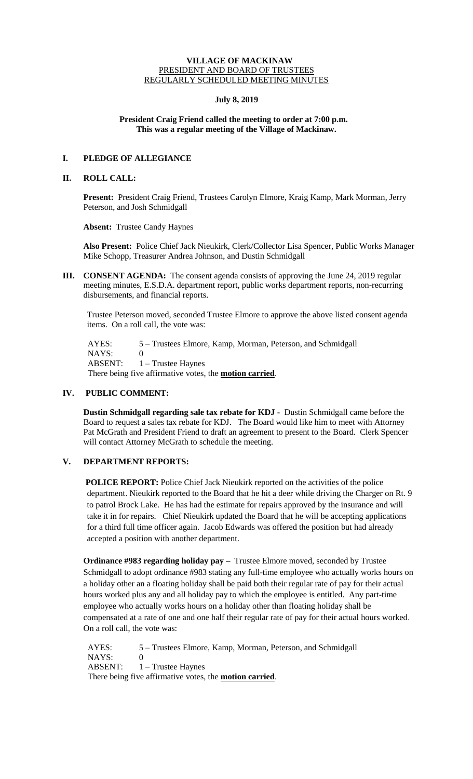### **VILLAGE OF MACKINAW** PRESIDENT AND BOARD OF TRUSTEES REGULARLY SCHEDULED MEETING MINUTES

## **July 8, 2019**

## **President Craig Friend called the meeting to order at 7:00 p.m. This was a regular meeting of the Village of Mackinaw.**

# **I. PLEDGE OF ALLEGIANCE**

#### **II. ROLL CALL:**

**Present:** President Craig Friend, Trustees Carolyn Elmore, Kraig Kamp, Mark Morman, Jerry Peterson, and Josh Schmidgall

**Absent:** Trustee Candy Haynes

**Also Present:** Police Chief Jack Nieukirk, Clerk/Collector Lisa Spencer, Public Works Manager Mike Schopp, Treasurer Andrea Johnson, and Dustin Schmidgall

**III. CONSENT AGENDA:** The consent agenda consists of approving the June 24, 2019 regular meeting minutes, E.S.D.A. department report, public works department reports, non-recurring disbursements, and financial reports.

Trustee Peterson moved, seconded Trustee Elmore to approve the above listed consent agenda items. On a roll call, the vote was:

 AYES: 5 – Trustees Elmore, Kamp, Morman, Peterson, and Schmidgall NAYS: 0 ABSENT: 1 – Trustee Haynes There being five affirmative votes, the **motion carried**.

# **IV. PUBLIC COMMENT:**

**Dustin Schmidgall regarding sale tax rebate for KDJ -** Dustin Schmidgall came before the Board to request a sales tax rebate for KDJ. The Board would like him to meet with Attorney Pat McGrath and President Friend to draft an agreement to present to the Board. Clerk Spencer will contact Attorney McGrath to schedule the meeting.

# **V. DEPARTMENT REPORTS:**

**POLICE REPORT:** Police Chief Jack Nieukirk reported on the activities of the police department. Nieukirk reported to the Board that he hit a deer while driving the Charger on Rt. 9 to patrol Brock Lake. He has had the estimate for repairs approved by the insurance and will take it in for repairs. Chief Nieukirk updated the Board that he will be accepting applications for a third full time officer again. Jacob Edwards was offered the position but had already accepted a position with another department.

**Ordinance #983 regarding holiday pay –** Trustee Elmore moved, seconded by Trustee Schmidgall to adopt ordinance #983 stating any full-time employee who actually works hours on a holiday other an a floating holiday shall be paid both their regular rate of pay for their actual hours worked plus any and all holiday pay to which the employee is entitled. Any part-time employee who actually works hours on a holiday other than floating holiday shall be compensated at a rate of one and one half their regular rate of pay for their actual hours worked. On a roll call, the vote was:

 AYES: 5 – Trustees Elmore, Kamp, Morman, Peterson, and Schmidgall NAYS: 0 ABSENT: 1 – Trustee Haynes There being five affirmative votes, the **motion carried**.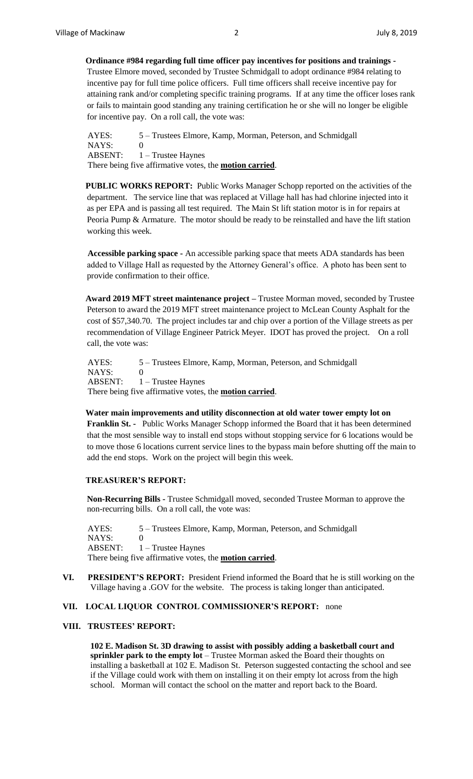**Ordinance #984 regarding full time officer pay incentives for positions and trainings -** Trustee Elmore moved, seconded by Trustee Schmidgall to adopt ordinance #984 relating to incentive pay for full time police officers. Full time officers shall receive incentive pay for attaining rank and/or completing specific training programs. If at any time the officer loses rank or fails to maintain good standing any training certification he or she will no longer be eligible for incentive pay. On a roll call, the vote was:

 AYES: 5 – Trustees Elmore, Kamp, Morman, Peterson, and Schmidgall NAYS: 0 ABSENT:  $1 -$  Trustee Haynes There being five affirmative votes, the **motion carried**.

**PUBLIC WORKS REPORT:** Public Works Manager Schopp reported on the activities of the department. The service line that was replaced at Village hall has had chlorine injected into it as per EPA and is passing all test required. The Main St lift station motor is in for repairs at Peoria Pump & Armature. The motor should be ready to be reinstalled and have the lift station working this week.

 **Accessible parking space -** An accessible parking space that meets ADA standards has been added to Village Hall as requested by the Attorney General's office. A photo has been sent to provide confirmation to their office.

**Award 2019 MFT street maintenance project –** Trustee Morman moved, seconded by Trustee Peterson to award the 2019 MFT street maintenance project to McLean County Asphalt for the cost of \$57,340.70. The project includes tar and chip over a portion of the Village streets as per recommendation of Village Engineer Patrick Meyer. IDOT has proved the project. On a roll call, the vote was:

 AYES: 5 – Trustees Elmore, Kamp, Morman, Peterson, and Schmidgall NAYS: 0 ABSENT: 1 – Trustee Haynes There being five affirmative votes, the **motion carried**.

**Water main improvements and utility disconnection at old water tower empty lot on Franklin St. -** Public Works Manager Schopp informed the Board that it has been determined that the most sensible way to install end stops without stopping service for 6 locations would be to move those 6 locations current service lines to the bypass main before shutting off the main to add the end stops. Work on the project will begin this week.

#### **TREASURER'S REPORT:**

**Non-Recurring Bills -** Trustee Schmidgall moved, seconded Trustee Morman to approve the non-recurring bills. On a roll call, the vote was:

AYES: 5 – Trustees Elmore, Kamp, Morman, Peterson, and Schmidgall NAYS: 0 ABSENT: 1 – Trustee Haynes There being five affirmative votes, the **motion carried**.

**VI. PRESIDENT'S REPORT:** President Friend informed the Board that he is still working on the Village having a .GOV for the website. The process is taking longer than anticipated.

#### **VII. LOCAL LIQUOR CONTROL COMMISSIONER'S REPORT:** none

### **VIII. TRUSTEES' REPORT:**

**102 E. Madison St. 3D drawing to assist with possibly adding a basketball court and sprinkler park to the empty lot** – Trustee Morman asked the Board their thoughts on installing a basketball at 102 E. Madison St. Peterson suggested contacting the school and see if the Village could work with them on installing it on their empty lot across from the high school. Morman will contact the school on the matter and report back to the Board.